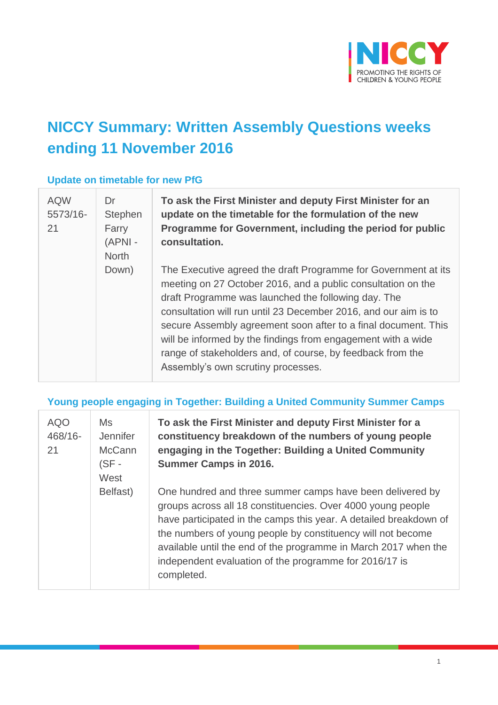

# **NICCY Summary: Written Assembly Questions weeks ending 11 November 2016**

#### **Update on timetable for new PfG**

| <b>AQW</b><br>5573/16-<br>21 | Dr<br>Stephen<br>Farry<br>$(APNI -$<br><b>North</b> | To ask the First Minister and deputy First Minister for an<br>update on the timetable for the formulation of the new<br>Programme for Government, including the period for public<br>consultation.                                                                                                                                                                                                                                                                                             |
|------------------------------|-----------------------------------------------------|------------------------------------------------------------------------------------------------------------------------------------------------------------------------------------------------------------------------------------------------------------------------------------------------------------------------------------------------------------------------------------------------------------------------------------------------------------------------------------------------|
|                              | Down)                                               | The Executive agreed the draft Programme for Government at its<br>meeting on 27 October 2016, and a public consultation on the<br>draft Programme was launched the following day. The<br>consultation will run until 23 December 2016, and our aim is to<br>secure Assembly agreement soon after to a final document. This<br>will be informed by the findings from engagement with a wide<br>range of stakeholders and, of course, by feedback from the<br>Assembly's own scrutiny processes. |

#### **Young people engaging in Together: Building a United Community Summer Camps**

| <b>AQO</b><br>468/16-<br>21 | Ms<br>Jennifer<br><b>McCann</b><br>$(SF -$<br>West | To ask the First Minister and deputy First Minister for a<br>constituency breakdown of the numbers of young people<br>engaging in the Together: Building a United Community<br><b>Summer Camps in 2016.</b>                                                                                                                                                                                             |
|-----------------------------|----------------------------------------------------|---------------------------------------------------------------------------------------------------------------------------------------------------------------------------------------------------------------------------------------------------------------------------------------------------------------------------------------------------------------------------------------------------------|
|                             | Belfast)                                           | One hundred and three summer camps have been delivered by<br>groups across all 18 constituencies. Over 4000 young people<br>have participated in the camps this year. A detailed breakdown of<br>the numbers of young people by constituency will not become<br>available until the end of the programme in March 2017 when the<br>independent evaluation of the programme for 2016/17 is<br>completed. |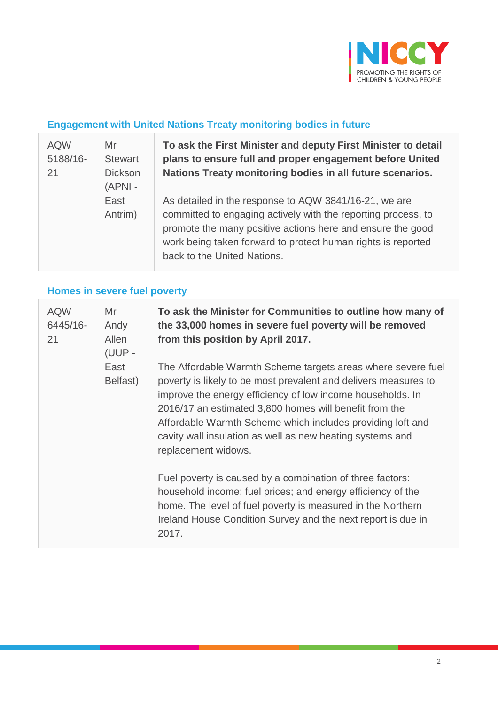

# **Engagement with United Nations Treaty monitoring bodies in future**

| <b>AQW</b><br>5188/16-<br>21 | Mr<br><b>Stewart</b><br><b>Dickson</b><br>$(APNI -$ | To ask the First Minister and deputy First Minister to detail<br>plans to ensure full and proper engagement before United<br>Nations Treaty monitoring bodies in all future scenarios.                                                                                              |
|------------------------------|-----------------------------------------------------|-------------------------------------------------------------------------------------------------------------------------------------------------------------------------------------------------------------------------------------------------------------------------------------|
|                              | East<br>Antrim)                                     | As detailed in the response to AQW 3841/16-21, we are<br>committed to engaging actively with the reporting process, to<br>promote the many positive actions here and ensure the good<br>work being taken forward to protect human rights is reported<br>back to the United Nations. |

# **Homes in severe fuel poverty**

| <b>AQW</b><br>6445/16-<br>21 | Mr<br>Andy<br>Allen<br>(UUP - | To ask the Minister for Communities to outline how many of<br>the 33,000 homes in severe fuel poverty will be removed<br>from this position by April 2017.                                                                                                                                                                                                                                                |
|------------------------------|-------------------------------|-----------------------------------------------------------------------------------------------------------------------------------------------------------------------------------------------------------------------------------------------------------------------------------------------------------------------------------------------------------------------------------------------------------|
|                              | East<br>Belfast)              | The Affordable Warmth Scheme targets areas where severe fuel<br>poverty is likely to be most prevalent and delivers measures to<br>improve the energy efficiency of low income households. In<br>2016/17 an estimated 3,800 homes will benefit from the<br>Affordable Warmth Scheme which includes providing loft and<br>cavity wall insulation as well as new heating systems and<br>replacement widows. |
|                              |                               | Fuel poverty is caused by a combination of three factors:<br>household income; fuel prices; and energy efficiency of the<br>home. The level of fuel poverty is measured in the Northern<br>Ireland House Condition Survey and the next report is due in<br>2017.                                                                                                                                          |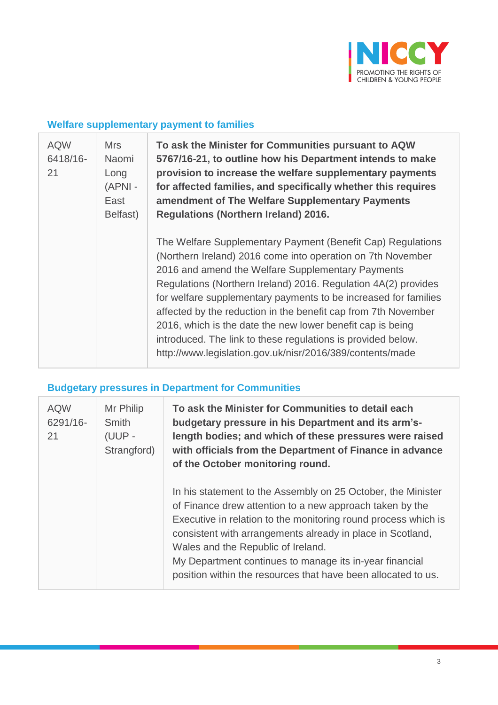

#### **Welfare supplementary payment to families**

| <b>AQW</b><br>6418/16-<br>21 | <b>Mrs</b><br>Naomi<br>Long<br>(APNI -<br>East<br>Belfast) | To ask the Minister for Communities pursuant to AQW<br>5767/16-21, to outline how his Department intends to make<br>provision to increase the welfare supplementary payments<br>for affected families, and specifically whether this requires<br>amendment of The Welfare Supplementary Payments<br><b>Regulations (Northern Ireland) 2016.</b>                                                                                                                                                                                                                                   |
|------------------------------|------------------------------------------------------------|-----------------------------------------------------------------------------------------------------------------------------------------------------------------------------------------------------------------------------------------------------------------------------------------------------------------------------------------------------------------------------------------------------------------------------------------------------------------------------------------------------------------------------------------------------------------------------------|
|                              |                                                            | The Welfare Supplementary Payment (Benefit Cap) Regulations<br>(Northern Ireland) 2016 come into operation on 7th November<br>2016 and amend the Welfare Supplementary Payments<br>Regulations (Northern Ireland) 2016. Regulation 4A(2) provides<br>for welfare supplementary payments to be increased for families<br>affected by the reduction in the benefit cap from 7th November<br>2016, which is the date the new lower benefit cap is being<br>introduced. The link to these regulations is provided below.<br>http://www.legislation.gov.uk/nisr/2016/389/contents/made |

#### **Budgetary pressures in Department for Communities**

| <b>AQW</b><br>6291/16-<br>21 | Mr Philip<br>Smith<br>(UUP -<br>Strangford) | To ask the Minister for Communities to detail each<br>budgetary pressure in his Department and its arm's-<br>length bodies; and which of these pressures were raised<br>with officials from the Department of Finance in advance<br>of the October monitoring round.                                                                                                                                                       |
|------------------------------|---------------------------------------------|----------------------------------------------------------------------------------------------------------------------------------------------------------------------------------------------------------------------------------------------------------------------------------------------------------------------------------------------------------------------------------------------------------------------------|
|                              |                                             | In his statement to the Assembly on 25 October, the Minister<br>of Finance drew attention to a new approach taken by the<br>Executive in relation to the monitoring round process which is<br>consistent with arrangements already in place in Scotland,<br>Wales and the Republic of Ireland.<br>My Department continues to manage its in-year financial<br>position within the resources that have been allocated to us. |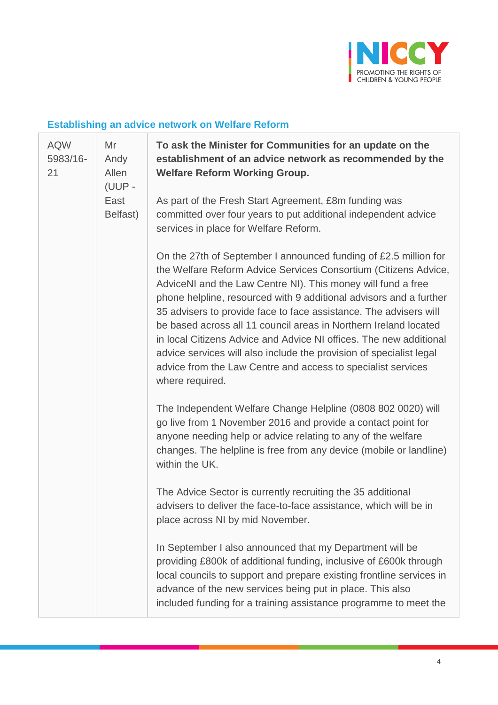

#### **Establishing an advice network on Welfare Reform**

| <b>AQW</b><br>5983/16-<br>21 | Mr<br>Andy<br>Allen<br>(UUP - | To ask the Minister for Communities for an update on the<br>establishment of an advice network as recommended by the<br><b>Welfare Reform Working Group.</b>                                                                                                                                                                                                                                                                                                                                                                                                                                                                                       |
|------------------------------|-------------------------------|----------------------------------------------------------------------------------------------------------------------------------------------------------------------------------------------------------------------------------------------------------------------------------------------------------------------------------------------------------------------------------------------------------------------------------------------------------------------------------------------------------------------------------------------------------------------------------------------------------------------------------------------------|
|                              | East<br>Belfast)              | As part of the Fresh Start Agreement, £8m funding was<br>committed over four years to put additional independent advice<br>services in place for Welfare Reform.                                                                                                                                                                                                                                                                                                                                                                                                                                                                                   |
|                              |                               | On the 27th of September I announced funding of £2.5 million for<br>the Welfare Reform Advice Services Consortium (Citizens Advice,<br>AdviceNI and the Law Centre NI). This money will fund a free<br>phone helpline, resourced with 9 additional advisors and a further<br>35 advisers to provide face to face assistance. The advisers will<br>be based across all 11 council areas in Northern Ireland located<br>in local Citizens Advice and Advice NI offices. The new additional<br>advice services will also include the provision of specialist legal<br>advice from the Law Centre and access to specialist services<br>where required. |
|                              |                               | The Independent Welfare Change Helpline (0808 802 0020) will<br>go live from 1 November 2016 and provide a contact point for<br>anyone needing help or advice relating to any of the welfare<br>changes. The helpline is free from any device (mobile or landline)<br>within the UK.                                                                                                                                                                                                                                                                                                                                                               |
|                              |                               | The Advice Sector is currently recruiting the 35 additional<br>advisers to deliver the face-to-face assistance, which will be in<br>place across NI by mid November.                                                                                                                                                                                                                                                                                                                                                                                                                                                                               |
|                              |                               | In September I also announced that my Department will be<br>providing £800k of additional funding, inclusive of £600k through<br>local councils to support and prepare existing frontline services in<br>advance of the new services being put in place. This also<br>included funding for a training assistance programme to meet the                                                                                                                                                                                                                                                                                                             |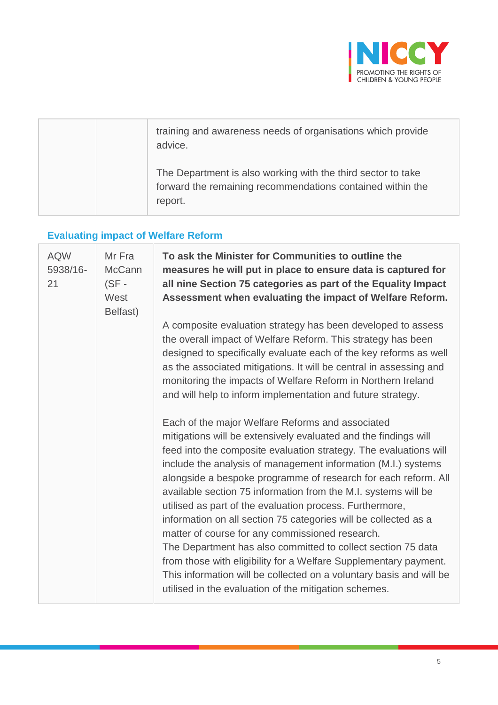

|  | training and awareness needs of organisations which provide<br>advice.                                                                |
|--|---------------------------------------------------------------------------------------------------------------------------------------|
|  | The Department is also working with the third sector to take<br>forward the remaining recommendations contained within the<br>report. |

# **Evaluating impact of Welfare Reform**

T

| <b>AQW</b><br>5938/16-<br>21 | Mr Fra<br><b>McCann</b><br>$(SF -$<br>West<br>Belfast) | To ask the Minister for Communities to outline the<br>measures he will put in place to ensure data is captured for<br>all nine Section 75 categories as part of the Equality Impact<br>Assessment when evaluating the impact of Welfare Reform.                                                                                                                                                                                                                                                                                                                                                                                                                                                                                                                                                                                                     |
|------------------------------|--------------------------------------------------------|-----------------------------------------------------------------------------------------------------------------------------------------------------------------------------------------------------------------------------------------------------------------------------------------------------------------------------------------------------------------------------------------------------------------------------------------------------------------------------------------------------------------------------------------------------------------------------------------------------------------------------------------------------------------------------------------------------------------------------------------------------------------------------------------------------------------------------------------------------|
|                              |                                                        | A composite evaluation strategy has been developed to assess<br>the overall impact of Welfare Reform. This strategy has been<br>designed to specifically evaluate each of the key reforms as well<br>as the associated mitigations. It will be central in assessing and<br>monitoring the impacts of Welfare Reform in Northern Ireland<br>and will help to inform implementation and future strategy.                                                                                                                                                                                                                                                                                                                                                                                                                                              |
|                              |                                                        | Each of the major Welfare Reforms and associated<br>mitigations will be extensively evaluated and the findings will<br>feed into the composite evaluation strategy. The evaluations will<br>include the analysis of management information (M.I.) systems<br>alongside a bespoke programme of research for each reform. All<br>available section 75 information from the M.I. systems will be<br>utilised as part of the evaluation process. Furthermore,<br>information on all section 75 categories will be collected as a<br>matter of course for any commissioned research.<br>The Department has also committed to collect section 75 data<br>from those with eligibility for a Welfare Supplementary payment.<br>This information will be collected on a voluntary basis and will be<br>utilised in the evaluation of the mitigation schemes. |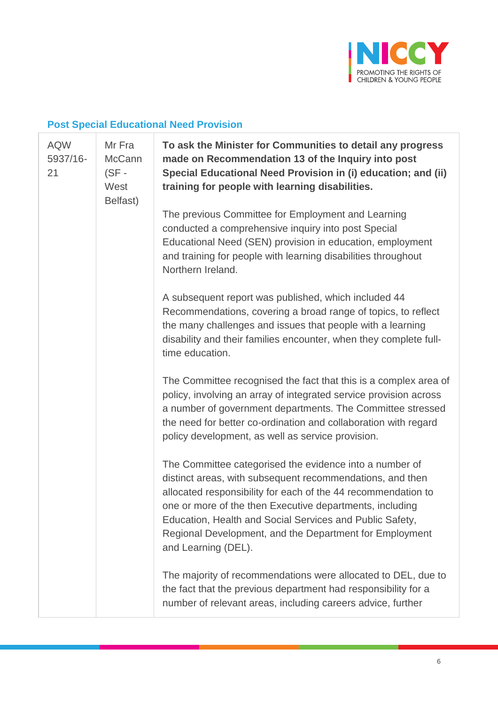

# **Post Special Educational Need Provision**

| <b>AQW</b><br>5937/16-<br>21 | Mr Fra<br>McCann<br>$(SF -$<br>West<br>Belfast) | To ask the Minister for Communities to detail any progress<br>made on Recommendation 13 of the Inquiry into post<br>Special Educational Need Provision in (i) education; and (ii)<br>training for people with learning disabilities.                                                                                                                                                            |
|------------------------------|-------------------------------------------------|-------------------------------------------------------------------------------------------------------------------------------------------------------------------------------------------------------------------------------------------------------------------------------------------------------------------------------------------------------------------------------------------------|
|                              |                                                 | The previous Committee for Employment and Learning<br>conducted a comprehensive inquiry into post Special<br>Educational Need (SEN) provision in education, employment<br>and training for people with learning disabilities throughout<br>Northern Ireland.                                                                                                                                    |
|                              |                                                 | A subsequent report was published, which included 44<br>Recommendations, covering a broad range of topics, to reflect<br>the many challenges and issues that people with a learning<br>disability and their families encounter, when they complete full-<br>time education.                                                                                                                     |
|                              |                                                 | The Committee recognised the fact that this is a complex area of<br>policy, involving an array of integrated service provision across<br>a number of government departments. The Committee stressed<br>the need for better co-ordination and collaboration with regard<br>policy development, as well as service provision.                                                                     |
|                              |                                                 | The Committee categorised the evidence into a number of<br>distinct areas, with subsequent recommendations, and then<br>allocated responsibility for each of the 44 recommendation to<br>one or more of the then Executive departments, including<br>Education, Health and Social Services and Public Safety,<br>Regional Development, and the Department for Employment<br>and Learning (DEL). |
|                              |                                                 | The majority of recommendations were allocated to DEL, due to<br>the fact that the previous department had responsibility for a<br>number of relevant areas, including careers advice, further                                                                                                                                                                                                  |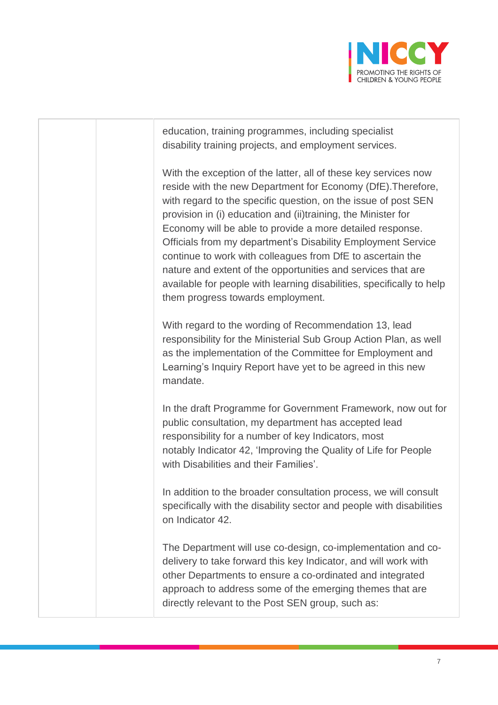

education, training programmes, including specialist disability training projects, and employment services.

With the exception of the latter, all of these key services now reside with the new Department for Economy (DfE).Therefore, with regard to the specific question, on the issue of post SEN provision in (i) education and (ii)training, the Minister for Economy will be able to provide a more detailed response. Officials from my department's Disability Employment Service continue to work with colleagues from DfE to ascertain the nature and extent of the opportunities and services that are available for people with learning disabilities, specifically to help them progress towards employment.

With regard to the wording of Recommendation 13, lead responsibility for the Ministerial Sub Group Action Plan, as well as the implementation of the Committee for Employment and Learning's Inquiry Report have yet to be agreed in this new mandate.

In the draft Programme for Government Framework, now out for public consultation, my department has accepted lead responsibility for a number of key Indicators, most notably Indicator 42, 'Improving the Quality of Life for People with Disabilities and their Families'.

In addition to the broader consultation process, we will consult specifically with the disability sector and people with disabilities on Indicator 42.

The Department will use co-design, co-implementation and codelivery to take forward this key Indicator, and will work with other Departments to ensure a co-ordinated and integrated approach to address some of the emerging themes that are directly relevant to the Post SEN group, such as: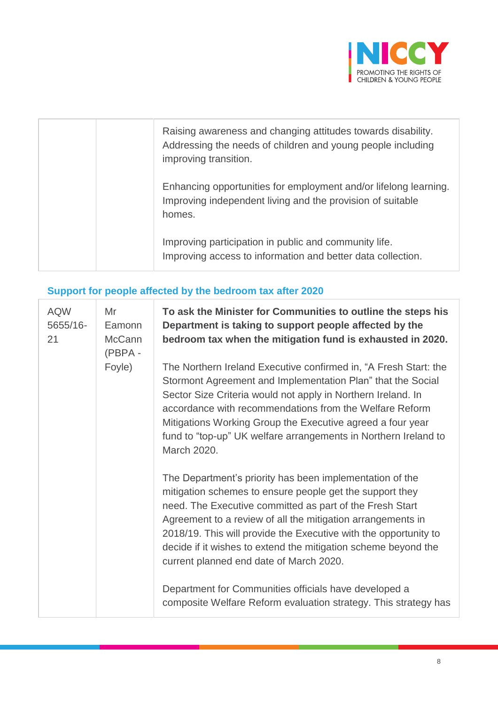

|  | Raising awareness and changing attitudes towards disability.<br>Addressing the needs of children and young people including<br>improving transition. |
|--|------------------------------------------------------------------------------------------------------------------------------------------------------|
|  | Enhancing opportunities for employment and/or lifelong learning.<br>Improving independent living and the provision of suitable<br>homes.             |
|  | Improving participation in public and community life.<br>Improving access to information and better data collection.                                 |

# **Support for people affected by the bedroom tax after 2020**

| <b>AQW</b><br>5655/16-<br>21 | Mr<br>Eamonn<br><b>McCann</b><br>(PBPA - | To ask the Minister for Communities to outline the steps his<br>Department is taking to support people affected by the<br>bedroom tax when the mitigation fund is exhausted in 2020.                                                                                                                                                                                                                                             |
|------------------------------|------------------------------------------|----------------------------------------------------------------------------------------------------------------------------------------------------------------------------------------------------------------------------------------------------------------------------------------------------------------------------------------------------------------------------------------------------------------------------------|
|                              | Foyle)                                   | The Northern Ireland Executive confirmed in, "A Fresh Start: the<br>Stormont Agreement and Implementation Plan" that the Social<br>Sector Size Criteria would not apply in Northern Ireland. In<br>accordance with recommendations from the Welfare Reform<br>Mitigations Working Group the Executive agreed a four year<br>fund to "top-up" UK welfare arrangements in Northern Ireland to<br>March 2020.                       |
|                              |                                          | The Department's priority has been implementation of the<br>mitigation schemes to ensure people get the support they<br>need. The Executive committed as part of the Fresh Start<br>Agreement to a review of all the mitigation arrangements in<br>2018/19. This will provide the Executive with the opportunity to<br>decide if it wishes to extend the mitigation scheme beyond the<br>current planned end date of March 2020. |
|                              |                                          | Department for Communities officials have developed a<br>composite Welfare Reform evaluation strategy. This strategy has                                                                                                                                                                                                                                                                                                         |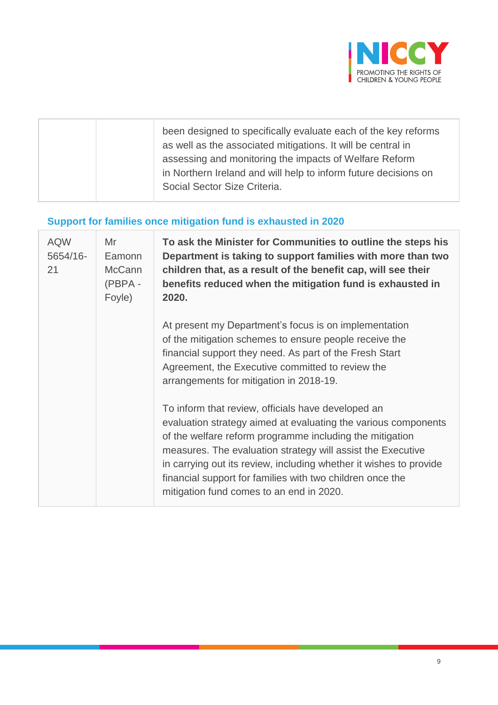

| been designed to specifically evaluate each of the key reforms<br>as well as the associated mitigations. It will be central in<br>assessing and monitoring the impacts of Welfare Reform<br>in Northern Ireland and will help to inform future decisions on<br>Social Sector Size Criteria. |
|---------------------------------------------------------------------------------------------------------------------------------------------------------------------------------------------------------------------------------------------------------------------------------------------|
|                                                                                                                                                                                                                                                                                             |

# **Support for families once mitigation fund is exhausted in 2020**

| <b>AQW</b><br>5654/16-<br>21 | Mr<br>Eamonn<br><b>McCann</b><br>(PBPA-<br>Foyle) | To ask the Minister for Communities to outline the steps his<br>Department is taking to support families with more than two<br>children that, as a result of the benefit cap, will see their<br>benefits reduced when the mitigation fund is exhausted in<br>2020.                                                                                                                                                             |
|------------------------------|---------------------------------------------------|--------------------------------------------------------------------------------------------------------------------------------------------------------------------------------------------------------------------------------------------------------------------------------------------------------------------------------------------------------------------------------------------------------------------------------|
|                              |                                                   | At present my Department's focus is on implementation<br>of the mitigation schemes to ensure people receive the<br>financial support they need. As part of the Fresh Start<br>Agreement, the Executive committed to review the<br>arrangements for mitigation in 2018-19.                                                                                                                                                      |
|                              |                                                   | To inform that review, officials have developed an<br>evaluation strategy aimed at evaluating the various components<br>of the welfare reform programme including the mitigation<br>measures. The evaluation strategy will assist the Executive<br>in carrying out its review, including whether it wishes to provide<br>financial support for families with two children once the<br>mitigation fund comes to an end in 2020. |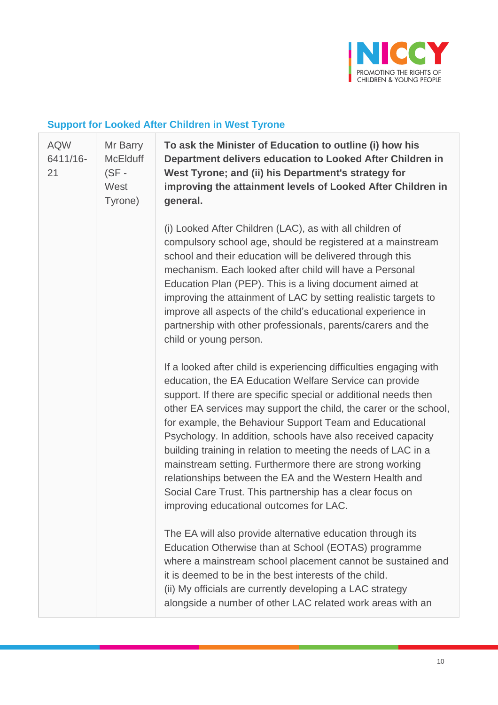

# **Support for Looked After Children in West Tyrone**

| <b>AQW</b><br>6411/16-<br>21 | Mr Barry<br><b>McElduff</b><br>$(SF -$<br>West<br>Tyrone) | To ask the Minister of Education to outline (i) how his<br>Department delivers education to Looked After Children in<br>West Tyrone; and (ii) his Department's strategy for<br>improving the attainment levels of Looked After Children in<br>general.                                                                                                                                                                                                                                                                                                                                                                                                                                           |
|------------------------------|-----------------------------------------------------------|--------------------------------------------------------------------------------------------------------------------------------------------------------------------------------------------------------------------------------------------------------------------------------------------------------------------------------------------------------------------------------------------------------------------------------------------------------------------------------------------------------------------------------------------------------------------------------------------------------------------------------------------------------------------------------------------------|
|                              |                                                           | (i) Looked After Children (LAC), as with all children of<br>compulsory school age, should be registered at a mainstream<br>school and their education will be delivered through this<br>mechanism. Each looked after child will have a Personal<br>Education Plan (PEP). This is a living document aimed at<br>improving the attainment of LAC by setting realistic targets to<br>improve all aspects of the child's educational experience in<br>partnership with other professionals, parents/carers and the<br>child or young person.                                                                                                                                                         |
|                              |                                                           | If a looked after child is experiencing difficulties engaging with<br>education, the EA Education Welfare Service can provide<br>support. If there are specific special or additional needs then<br>other EA services may support the child, the carer or the school,<br>for example, the Behaviour Support Team and Educational<br>Psychology. In addition, schools have also received capacity<br>building training in relation to meeting the needs of LAC in a<br>mainstream setting. Furthermore there are strong working<br>relationships between the EA and the Western Health and<br>Social Care Trust. This partnership has a clear focus on<br>improving educational outcomes for LAC. |
|                              |                                                           | The EA will also provide alternative education through its<br>Education Otherwise than at School (EOTAS) programme<br>where a mainstream school placement cannot be sustained and<br>it is deemed to be in the best interests of the child.<br>(ii) My officials are currently developing a LAC strategy<br>alongside a number of other LAC related work areas with an                                                                                                                                                                                                                                                                                                                           |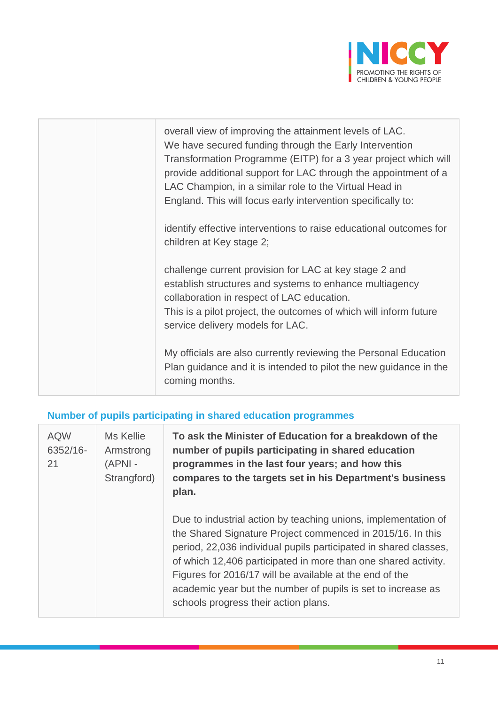

| overall view of improving the attainment levels of LAC.<br>We have secured funding through the Early Intervention<br>Transformation Programme (EITP) for a 3 year project which will<br>provide additional support for LAC through the appointment of a<br>LAC Champion, in a similar role to the Virtual Head in<br>England. This will focus early intervention specifically to:<br>identify effective interventions to raise educational outcomes for<br>children at Key stage 2; |
|-------------------------------------------------------------------------------------------------------------------------------------------------------------------------------------------------------------------------------------------------------------------------------------------------------------------------------------------------------------------------------------------------------------------------------------------------------------------------------------|
| challenge current provision for LAC at key stage 2 and<br>establish structures and systems to enhance multiagency<br>collaboration in respect of LAC education.<br>This is a pilot project, the outcomes of which will inform future<br>service delivery models for LAC.                                                                                                                                                                                                            |
| My officials are also currently reviewing the Personal Education<br>Plan guidance and it is intended to pilot the new guidance in the<br>coming months.                                                                                                                                                                                                                                                                                                                             |

# **Number of pupils participating in shared education programmes**

| <b>AQW</b><br>6352/16-<br>21 | Ms Kellie<br>Armstrong<br>$(APNI -$<br>Strangford) | To ask the Minister of Education for a breakdown of the<br>number of pupils participating in shared education<br>programmes in the last four years; and how this<br>compares to the targets set in his Department's business<br>plan.                                                                                                                                                                                                 |
|------------------------------|----------------------------------------------------|---------------------------------------------------------------------------------------------------------------------------------------------------------------------------------------------------------------------------------------------------------------------------------------------------------------------------------------------------------------------------------------------------------------------------------------|
|                              |                                                    | Due to industrial action by teaching unions, implementation of<br>the Shared Signature Project commenced in 2015/16. In this<br>period, 22,036 individual pupils participated in shared classes,<br>of which 12,406 participated in more than one shared activity.<br>Figures for 2016/17 will be available at the end of the<br>academic year but the number of pupils is set to increase as<br>schools progress their action plans. |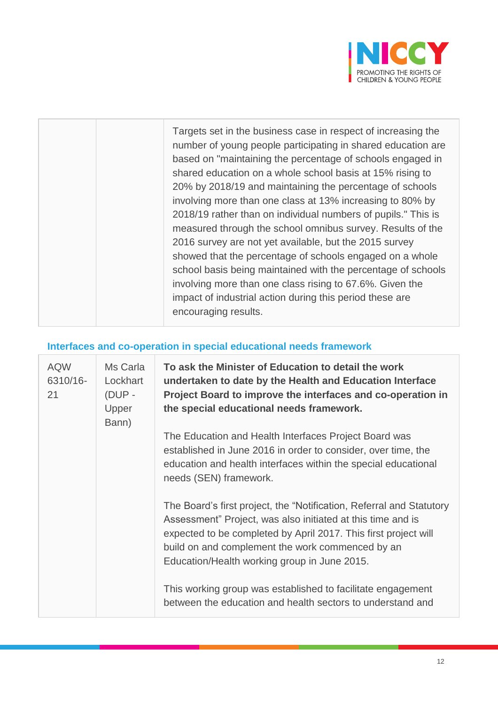

|  | Targets set in the business case in respect of increasing the<br>number of young people participating in shared education are<br>based on "maintaining the percentage of schools engaged in<br>shared education on a whole school basis at 15% rising to<br>20% by 2018/19 and maintaining the percentage of schools<br>involving more than one class at 13% increasing to 80% by<br>2018/19 rather than on individual numbers of pupils." This is<br>measured through the school omnibus survey. Results of the<br>2016 survey are not yet available, but the 2015 survey<br>showed that the percentage of schools engaged on a whole<br>school basis being maintained with the percentage of schools<br>involving more than one class rising to 67.6%. Given the<br>impact of industrial action during this period these are |
|--|--------------------------------------------------------------------------------------------------------------------------------------------------------------------------------------------------------------------------------------------------------------------------------------------------------------------------------------------------------------------------------------------------------------------------------------------------------------------------------------------------------------------------------------------------------------------------------------------------------------------------------------------------------------------------------------------------------------------------------------------------------------------------------------------------------------------------------|
|  | encouraging results.                                                                                                                                                                                                                                                                                                                                                                                                                                                                                                                                                                                                                                                                                                                                                                                                           |

# **Interfaces and co-operation in special educational needs framework**

| <b>AQW</b><br>6310/16-<br>21 | Ms Carla<br>Lockhart<br>(DUP -<br>Upper<br>Bann) | To ask the Minister of Education to detail the work<br>undertaken to date by the Health and Education Interface<br>Project Board to improve the interfaces and co-operation in<br>the special educational needs framework.                                                                                 |
|------------------------------|--------------------------------------------------|------------------------------------------------------------------------------------------------------------------------------------------------------------------------------------------------------------------------------------------------------------------------------------------------------------|
|                              |                                                  | The Education and Health Interfaces Project Board was<br>established in June 2016 in order to consider, over time, the<br>education and health interfaces within the special educational<br>needs (SEN) framework.                                                                                         |
|                              |                                                  | The Board's first project, the "Notification, Referral and Statutory<br>Assessment" Project, was also initiated at this time and is<br>expected to be completed by April 2017. This first project will<br>build on and complement the work commenced by an<br>Education/Health working group in June 2015. |
|                              |                                                  | This working group was established to facilitate engagement<br>between the education and health sectors to understand and                                                                                                                                                                                  |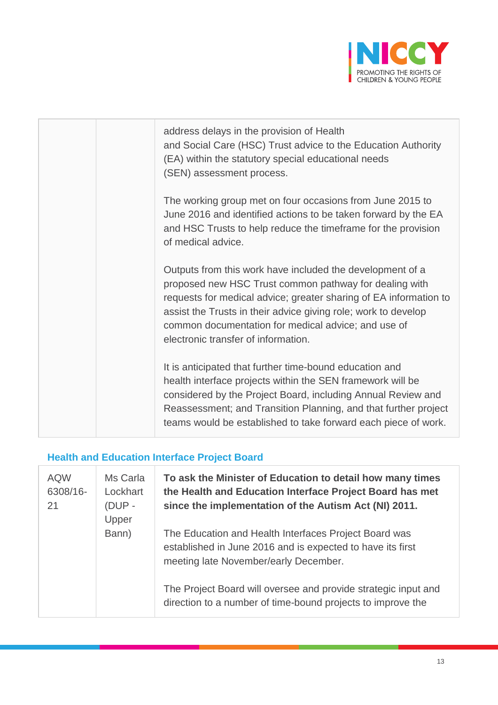

| address delays in the provision of Health<br>and Social Care (HSC) Trust advice to the Education Authority<br>(EA) within the statutory special educational needs<br>(SEN) assessment process.                                                                                                                                                           |
|----------------------------------------------------------------------------------------------------------------------------------------------------------------------------------------------------------------------------------------------------------------------------------------------------------------------------------------------------------|
| The working group met on four occasions from June 2015 to<br>June 2016 and identified actions to be taken forward by the EA<br>and HSC Trusts to help reduce the timeframe for the provision<br>of medical advice.                                                                                                                                       |
| Outputs from this work have included the development of a<br>proposed new HSC Trust common pathway for dealing with<br>requests for medical advice; greater sharing of EA information to<br>assist the Trusts in their advice giving role; work to develop<br>common documentation for medical advice; and use of<br>electronic transfer of information. |
| It is anticipated that further time-bound education and<br>health interface projects within the SEN framework will be<br>considered by the Project Board, including Annual Review and<br>Reassessment; and Transition Planning, and that further project<br>teams would be established to take forward each piece of work.                               |

# **Health and Education Interface Project Board**

| <b>AQW</b><br>6308/16-<br>21 | Ms Carla<br>Lockhart<br>$(DUP -$<br>Upper | To ask the Minister of Education to detail how many times<br>the Health and Education Interface Project Board has met<br>since the implementation of the Autism Act (NI) 2011. |
|------------------------------|-------------------------------------------|--------------------------------------------------------------------------------------------------------------------------------------------------------------------------------|
|                              | Bann)                                     | The Education and Health Interfaces Project Board was<br>established in June 2016 and is expected to have its first<br>meeting late November/early December.                   |
|                              |                                           | The Project Board will oversee and provide strategic input and<br>direction to a number of time-bound projects to improve the                                                  |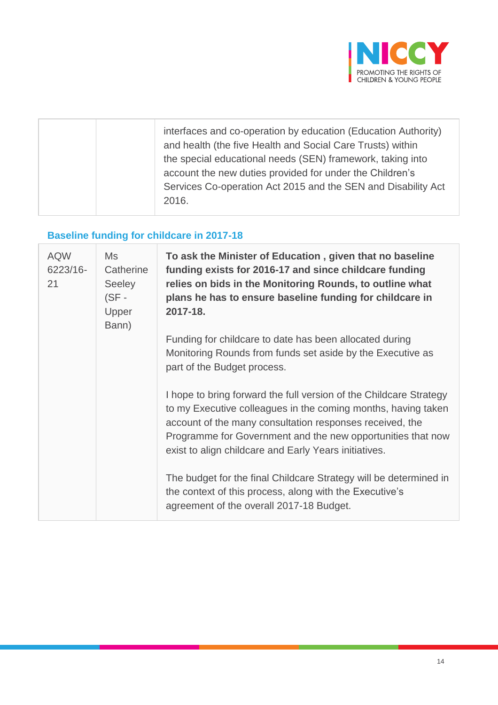

# **Baseline funding for childcare in 2017-18**

| <b>AQW</b><br>6223/16-<br>21 | Ms<br>Catherine<br><b>Seeley</b><br>$(SF -$<br>Upper<br>Bann) | To ask the Minister of Education, given that no baseline<br>funding exists for 2016-17 and since childcare funding<br>relies on bids in the Monitoring Rounds, to outline what<br>plans he has to ensure baseline funding for childcare in<br>2017-18.                                                                  |
|------------------------------|---------------------------------------------------------------|-------------------------------------------------------------------------------------------------------------------------------------------------------------------------------------------------------------------------------------------------------------------------------------------------------------------------|
|                              |                                                               | Funding for childcare to date has been allocated during<br>Monitoring Rounds from funds set aside by the Executive as<br>part of the Budget process.                                                                                                                                                                    |
|                              |                                                               | I hope to bring forward the full version of the Childcare Strategy<br>to my Executive colleagues in the coming months, having taken<br>account of the many consultation responses received, the<br>Programme for Government and the new opportunities that now<br>exist to align childcare and Early Years initiatives. |
|                              |                                                               | The budget for the final Childcare Strategy will be determined in<br>the context of this process, along with the Executive's<br>agreement of the overall 2017-18 Budget.                                                                                                                                                |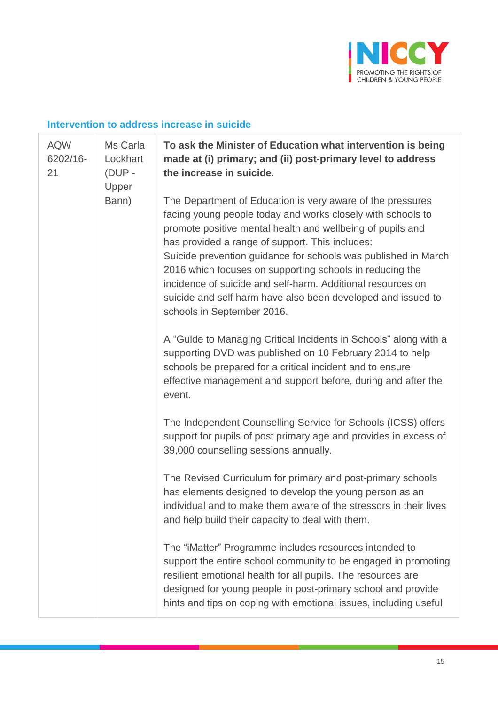

#### **Intervention to address increase in suicide**

| <b>AQW</b><br>6202/16-<br>21 | Ms Carla<br>Lockhart<br>(DUP -<br>Upper<br>Bann) | To ask the Minister of Education what intervention is being<br>made at (i) primary; and (ii) post-primary level to address<br>the increase in suicide.                                                                                                                                                                                                                                                                                                                                                                                |
|------------------------------|--------------------------------------------------|---------------------------------------------------------------------------------------------------------------------------------------------------------------------------------------------------------------------------------------------------------------------------------------------------------------------------------------------------------------------------------------------------------------------------------------------------------------------------------------------------------------------------------------|
|                              |                                                  | The Department of Education is very aware of the pressures<br>facing young people today and works closely with schools to<br>promote positive mental health and wellbeing of pupils and<br>has provided a range of support. This includes:<br>Suicide prevention guidance for schools was published in March<br>2016 which focuses on supporting schools in reducing the<br>incidence of suicide and self-harm. Additional resources on<br>suicide and self harm have also been developed and issued to<br>schools in September 2016. |
|                              |                                                  | A "Guide to Managing Critical Incidents in Schools" along with a<br>supporting DVD was published on 10 February 2014 to help<br>schools be prepared for a critical incident and to ensure<br>effective management and support before, during and after the<br>event.                                                                                                                                                                                                                                                                  |
|                              |                                                  | The Independent Counselling Service for Schools (ICSS) offers<br>support for pupils of post primary age and provides in excess of<br>39,000 counselling sessions annually.                                                                                                                                                                                                                                                                                                                                                            |
|                              |                                                  | The Revised Curriculum for primary and post-primary schools<br>has elements designed to develop the young person as an<br>individual and to make them aware of the stressors in their lives<br>and help build their capacity to deal with them.                                                                                                                                                                                                                                                                                       |
|                              |                                                  | The "iMatter" Programme includes resources intended to<br>support the entire school community to be engaged in promoting<br>resilient emotional health for all pupils. The resources are<br>designed for young people in post-primary school and provide<br>hints and tips on coping with emotional issues, including useful                                                                                                                                                                                                          |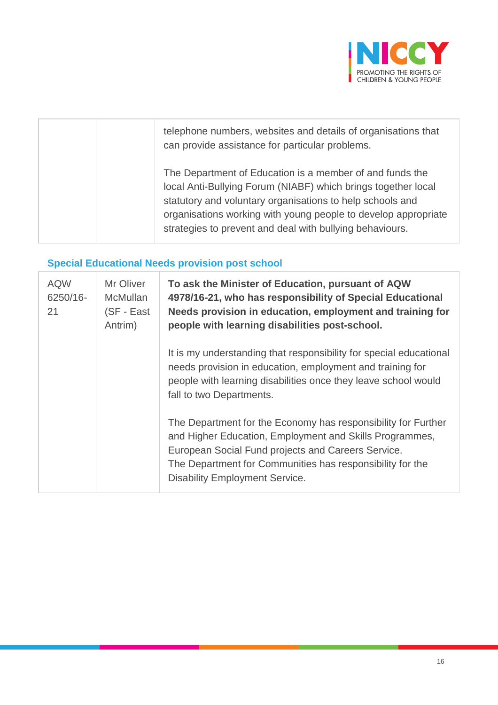

| telephone numbers, websites and details of organisations that<br>can provide assistance for particular problems.                                                                                                                                                                                                     |
|----------------------------------------------------------------------------------------------------------------------------------------------------------------------------------------------------------------------------------------------------------------------------------------------------------------------|
| The Department of Education is a member of and funds the<br>local Anti-Bullying Forum (NIABF) which brings together local<br>statutory and voluntary organisations to help schools and<br>organisations working with young people to develop appropriate<br>strategies to prevent and deal with bullying behaviours. |

# **Special Educational Needs provision post school**

| <b>AQW</b><br>6250/16-<br>21 | Mr Oliver<br><b>McMullan</b><br>(SF - East<br>Antrim) | To ask the Minister of Education, pursuant of AQW<br>4978/16-21, who has responsibility of Special Educational<br>Needs provision in education, employment and training for<br>people with learning disabilities post-school.                                                        |
|------------------------------|-------------------------------------------------------|--------------------------------------------------------------------------------------------------------------------------------------------------------------------------------------------------------------------------------------------------------------------------------------|
|                              |                                                       | It is my understanding that responsibility for special educational<br>needs provision in education, employment and training for<br>people with learning disabilities once they leave school would<br>fall to two Departments.                                                        |
|                              |                                                       | The Department for the Economy has responsibility for Further<br>and Higher Education, Employment and Skills Programmes,<br>European Social Fund projects and Careers Service.<br>The Department for Communities has responsibility for the<br><b>Disability Employment Service.</b> |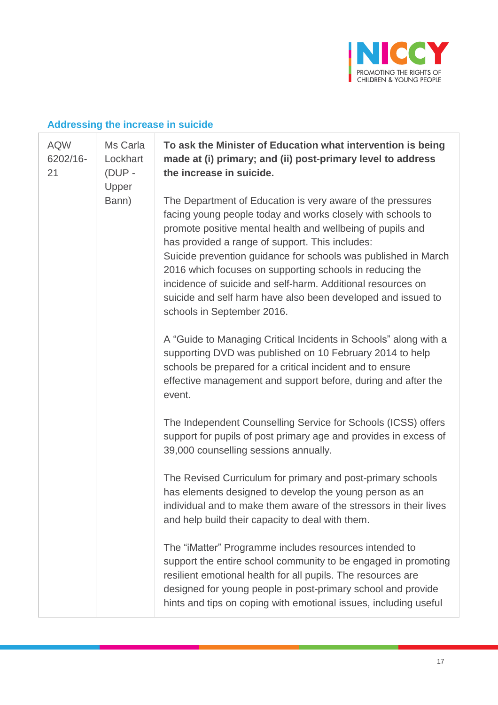

#### **Addressing the increase in suicide**

| <b>AQW</b><br>6202/16-<br>21 | Ms Carla<br>Lockhart<br>(DUP -<br>Upper | To ask the Minister of Education what intervention is being<br>made at (i) primary; and (ii) post-primary level to address<br>the increase in suicide.                                                                                                                                                                                                                                                                                                                                                                                |
|------------------------------|-----------------------------------------|---------------------------------------------------------------------------------------------------------------------------------------------------------------------------------------------------------------------------------------------------------------------------------------------------------------------------------------------------------------------------------------------------------------------------------------------------------------------------------------------------------------------------------------|
|                              | Bann)                                   | The Department of Education is very aware of the pressures<br>facing young people today and works closely with schools to<br>promote positive mental health and wellbeing of pupils and<br>has provided a range of support. This includes:<br>Suicide prevention guidance for schools was published in March<br>2016 which focuses on supporting schools in reducing the<br>incidence of suicide and self-harm. Additional resources on<br>suicide and self harm have also been developed and issued to<br>schools in September 2016. |
|                              |                                         | A "Guide to Managing Critical Incidents in Schools" along with a<br>supporting DVD was published on 10 February 2014 to help<br>schools be prepared for a critical incident and to ensure<br>effective management and support before, during and after the<br>event.                                                                                                                                                                                                                                                                  |
|                              |                                         | The Independent Counselling Service for Schools (ICSS) offers<br>support for pupils of post primary age and provides in excess of<br>39,000 counselling sessions annually.                                                                                                                                                                                                                                                                                                                                                            |
|                              |                                         | The Revised Curriculum for primary and post-primary schools<br>has elements designed to develop the young person as an<br>individual and to make them aware of the stressors in their lives<br>and help build their capacity to deal with them.                                                                                                                                                                                                                                                                                       |
|                              |                                         | The "iMatter" Programme includes resources intended to<br>support the entire school community to be engaged in promoting<br>resilient emotional health for all pupils. The resources are<br>designed for young people in post-primary school and provide<br>hints and tips on coping with emotional issues, including useful                                                                                                                                                                                                          |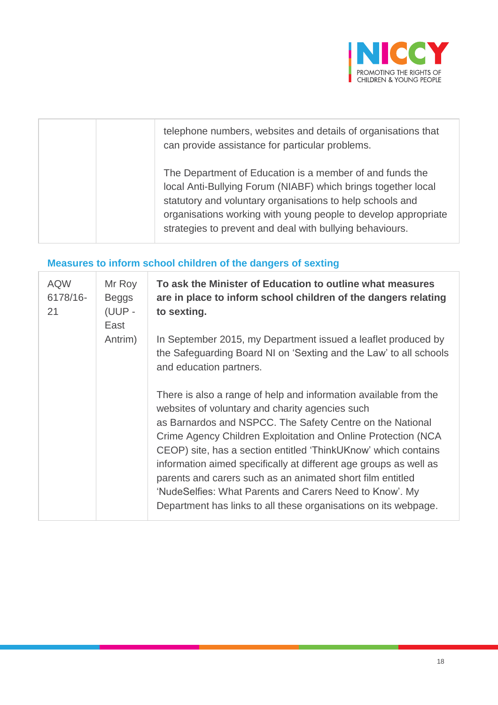

| telephone numbers, websites and details of organisations that<br>can provide assistance for particular problems.                                                                                                                                                                                                     |
|----------------------------------------------------------------------------------------------------------------------------------------------------------------------------------------------------------------------------------------------------------------------------------------------------------------------|
| The Department of Education is a member of and funds the<br>local Anti-Bullying Forum (NIABF) which brings together local<br>statutory and voluntary organisations to help schools and<br>organisations working with young people to develop appropriate<br>strategies to prevent and deal with bullying behaviours. |

# **Measures to inform school children of the dangers of sexting**

| <b>AQW</b><br>6178/16-<br>21 | Mr Roy<br><b>Beggs</b><br>(UUP -<br>East | To ask the Minister of Education to outline what measures<br>are in place to inform school children of the dangers relating<br>to sexting.                                                                                                                                                                                                                                                                                                                                                                                                                                           |
|------------------------------|------------------------------------------|--------------------------------------------------------------------------------------------------------------------------------------------------------------------------------------------------------------------------------------------------------------------------------------------------------------------------------------------------------------------------------------------------------------------------------------------------------------------------------------------------------------------------------------------------------------------------------------|
|                              | Antrim)                                  | In September 2015, my Department issued a leaflet produced by<br>the Safeguarding Board NI on 'Sexting and the Law' to all schools<br>and education partners.                                                                                                                                                                                                                                                                                                                                                                                                                        |
|                              |                                          | There is also a range of help and information available from the<br>websites of voluntary and charity agencies such<br>as Barnardos and NSPCC. The Safety Centre on the National<br>Crime Agency Children Exploitation and Online Protection (NCA<br>CEOP) site, has a section entitled 'ThinkUKnow' which contains<br>information aimed specifically at different age groups as well as<br>parents and carers such as an animated short film entitled<br>'NudeSelfies: What Parents and Carers Need to Know'. My<br>Department has links to all these organisations on its webpage. |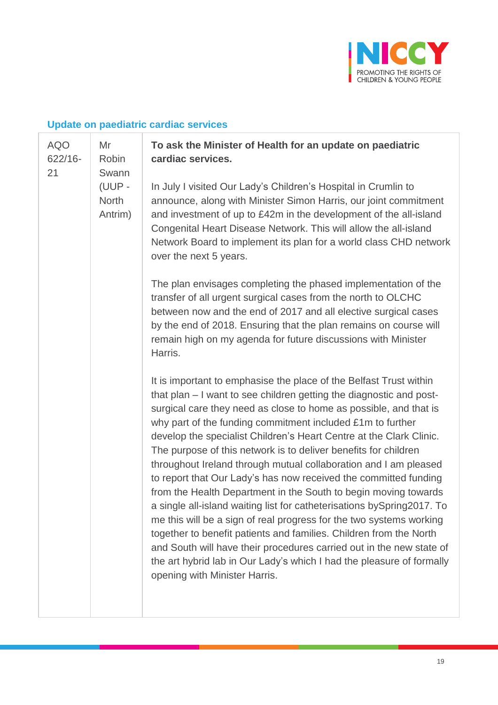

# **Update on paediatric cardiac services**

| <b>AQO</b><br>$622/16 -$<br>21    | Mr<br>Robin<br>Swann | To ask the Minister of Health for an update on paediatric<br>cardiac services.                                                                                                                                                                                                                                                                                                                                                                                                                                                                                                                                                                                                                                                                                                                                                                                                                                                                                                                                                               |
|-----------------------------------|----------------------|----------------------------------------------------------------------------------------------------------------------------------------------------------------------------------------------------------------------------------------------------------------------------------------------------------------------------------------------------------------------------------------------------------------------------------------------------------------------------------------------------------------------------------------------------------------------------------------------------------------------------------------------------------------------------------------------------------------------------------------------------------------------------------------------------------------------------------------------------------------------------------------------------------------------------------------------------------------------------------------------------------------------------------------------|
| (UUP -<br><b>North</b><br>Antrim) |                      | In July I visited Our Lady's Children's Hospital in Crumlin to<br>announce, along with Minister Simon Harris, our joint commitment<br>and investment of up to £42m in the development of the all-island<br>Congenital Heart Disease Network. This will allow the all-island<br>Network Board to implement its plan for a world class CHD network<br>over the next 5 years.                                                                                                                                                                                                                                                                                                                                                                                                                                                                                                                                                                                                                                                                   |
|                                   |                      | The plan envisages completing the phased implementation of the<br>transfer of all urgent surgical cases from the north to OLCHC<br>between now and the end of 2017 and all elective surgical cases<br>by the end of 2018. Ensuring that the plan remains on course will<br>remain high on my agenda for future discussions with Minister<br>Harris.                                                                                                                                                                                                                                                                                                                                                                                                                                                                                                                                                                                                                                                                                          |
|                                   |                      | It is important to emphasise the place of the Belfast Trust within<br>that plan – I want to see children getting the diagnostic and post-<br>surgical care they need as close to home as possible, and that is<br>why part of the funding commitment included £1m to further<br>develop the specialist Children's Heart Centre at the Clark Clinic.<br>The purpose of this network is to deliver benefits for children<br>throughout Ireland through mutual collaboration and I am pleased<br>to report that Our Lady's has now received the committed funding<br>from the Health Department in the South to begin moving towards<br>a single all-island waiting list for catheterisations by Spring 2017. To<br>me this will be a sign of real progress for the two systems working<br>together to benefit patients and families. Children from the North<br>and South will have their procedures carried out in the new state of<br>the art hybrid lab in Our Lady's which I had the pleasure of formally<br>opening with Minister Harris. |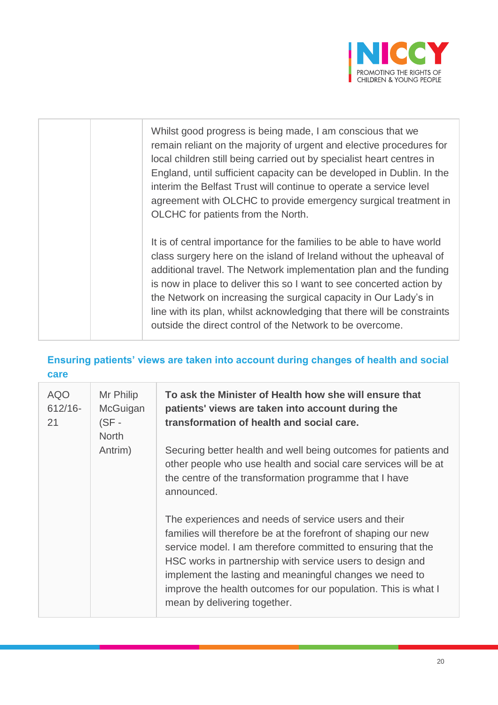

|  | Whilst good progress is being made, I am conscious that we<br>remain reliant on the majority of urgent and elective procedures for<br>local children still being carried out by specialist heart centres in<br>England, until sufficient capacity can be developed in Dublin. In the<br>interim the Belfast Trust will continue to operate a service level<br>agreement with OLCHC to provide emergency surgical treatment in<br>OLCHC for patients from the North.                                    |
|--|--------------------------------------------------------------------------------------------------------------------------------------------------------------------------------------------------------------------------------------------------------------------------------------------------------------------------------------------------------------------------------------------------------------------------------------------------------------------------------------------------------|
|  | It is of central importance for the families to be able to have world<br>class surgery here on the island of Ireland without the upheaval of<br>additional travel. The Network implementation plan and the funding<br>is now in place to deliver this so I want to see concerted action by<br>the Network on increasing the surgical capacity in Our Lady's in<br>line with its plan, whilst acknowledging that there will be constraints<br>outside the direct control of the Network to be overcome. |

### **Ensuring patients' views are taken into account during changes of health and social care**

| <b>AQO</b><br>$612/16 -$<br>21 | Mr Philip<br>McGuigan<br>$(SF -$<br><b>North</b> | To ask the Minister of Health how she will ensure that<br>patients' views are taken into account during the<br>transformation of health and social care.                                                                                                                                                                                                                                                         |
|--------------------------------|--------------------------------------------------|------------------------------------------------------------------------------------------------------------------------------------------------------------------------------------------------------------------------------------------------------------------------------------------------------------------------------------------------------------------------------------------------------------------|
|                                | Antrim)                                          | Securing better health and well being outcomes for patients and<br>other people who use health and social care services will be at<br>the centre of the transformation programme that I have<br>announced.                                                                                                                                                                                                       |
|                                |                                                  | The experiences and needs of service users and their<br>families will therefore be at the forefront of shaping our new<br>service model. I am therefore committed to ensuring that the<br>HSC works in partnership with service users to design and<br>implement the lasting and meaningful changes we need to<br>improve the health outcomes for our population. This is what I<br>mean by delivering together. |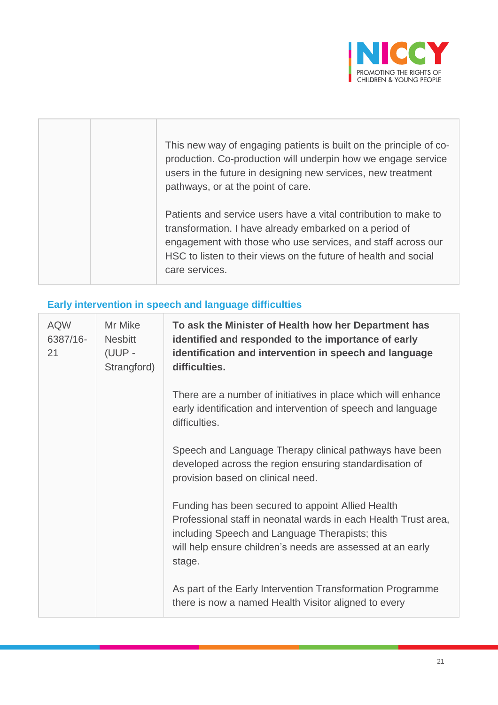

| This new way of engaging patients is built on the principle of co-<br>production. Co-production will underpin how we engage service<br>users in the future in designing new services, new treatment<br>pathways, or at the point of care.                                      |
|--------------------------------------------------------------------------------------------------------------------------------------------------------------------------------------------------------------------------------------------------------------------------------|
| Patients and service users have a vital contribution to make to<br>transformation. I have already embarked on a period of<br>engagement with those who use services, and staff across our<br>HSC to listen to their views on the future of health and social<br>care services. |

#### **Early intervention in speech and language difficulties**

| <b>AQW</b><br>6387/16-<br>21 | Mr Mike<br><b>Nesbitt</b><br>(UUP -<br>Strangford) | To ask the Minister of Health how her Department has<br>identified and responded to the importance of early<br>identification and intervention in speech and language<br>difficulties.                                                         |
|------------------------------|----------------------------------------------------|------------------------------------------------------------------------------------------------------------------------------------------------------------------------------------------------------------------------------------------------|
|                              |                                                    | There are a number of initiatives in place which will enhance<br>early identification and intervention of speech and language<br>difficulties.                                                                                                 |
|                              |                                                    | Speech and Language Therapy clinical pathways have been<br>developed across the region ensuring standardisation of<br>provision based on clinical need.                                                                                        |
|                              |                                                    | Funding has been secured to appoint Allied Health<br>Professional staff in neonatal wards in each Health Trust area,<br>including Speech and Language Therapists; this<br>will help ensure children's needs are assessed at an early<br>stage. |
|                              |                                                    | As part of the Early Intervention Transformation Programme<br>there is now a named Health Visitor aligned to every                                                                                                                             |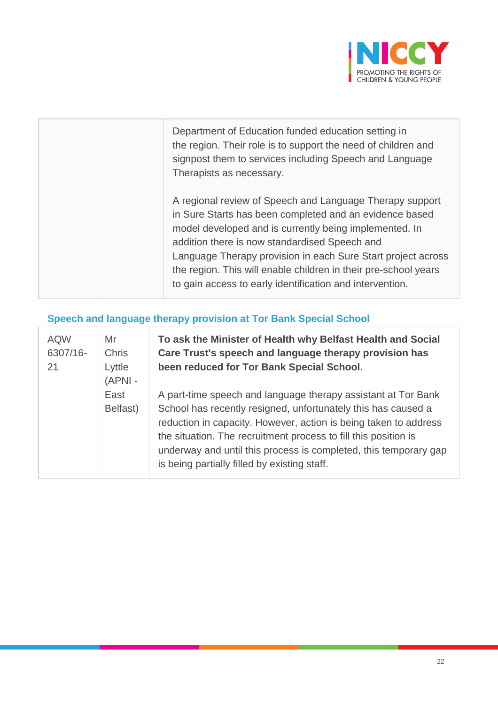

| Department of Education funded education setting in<br>the region. Their role is to support the need of children and<br>signpost them to services including Speech and Language<br>Therapists as necessary.                                                                                                                                                                                                                   |
|-------------------------------------------------------------------------------------------------------------------------------------------------------------------------------------------------------------------------------------------------------------------------------------------------------------------------------------------------------------------------------------------------------------------------------|
| A regional review of Speech and Language Therapy support<br>in Sure Starts has been completed and an evidence based<br>model developed and is currently being implemented. In<br>addition there is now standardised Speech and<br>Language Therapy provision in each Sure Start project across<br>the region. This will enable children in their pre-school years<br>to gain access to early identification and intervention. |

# **Speech and language therapy provision at Tor Bank Special School**

| <b>AQW</b><br>6307/16-<br>21 | Mr<br><b>Chris</b><br>Lyttle<br>(APNI- | To ask the Minister of Health why Belfast Health and Social<br>Care Trust's speech and language therapy provision has<br>been reduced for Tor Bank Special School.                                                                                                                                                                                                                        |
|------------------------------|----------------------------------------|-------------------------------------------------------------------------------------------------------------------------------------------------------------------------------------------------------------------------------------------------------------------------------------------------------------------------------------------------------------------------------------------|
|                              | East<br>Belfast)                       | A part-time speech and language therapy assistant at Tor Bank<br>School has recently resigned, unfortunately this has caused a<br>reduction in capacity. However, action is being taken to address<br>the situation. The recruitment process to fill this position is<br>underway and until this process is completed, this temporary gap<br>is being partially filled by existing staff. |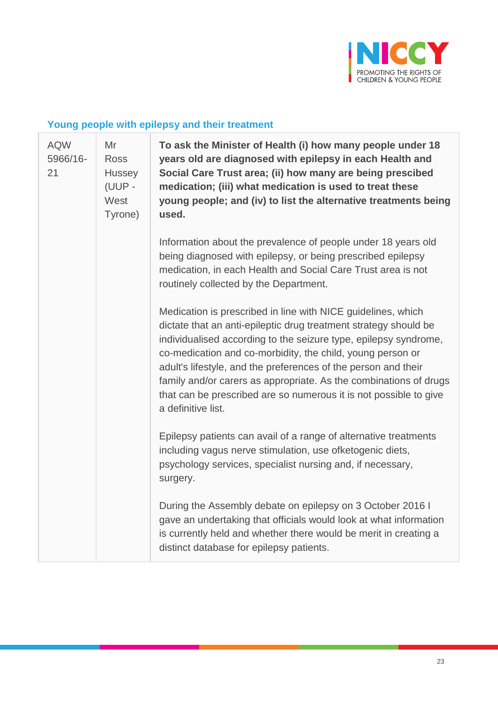

# **Young people with epilepsy and their treatment**

| <b>AQW</b><br>5966/16-<br>21 | Mr<br><b>Ross</b><br>Hussey<br>(UUP -<br>West<br>Tyrone) | To ask the Minister of Health (i) how many people under 18<br>years old are diagnosed with epilepsy in each Health and<br>Social Care Trust area; (ii) how many are being prescibed<br>medication; (iii) what medication is used to treat these<br>young people; and (iv) to list the alternative treatments being<br>used.                                                                                                                                                                          |  |
|------------------------------|----------------------------------------------------------|------------------------------------------------------------------------------------------------------------------------------------------------------------------------------------------------------------------------------------------------------------------------------------------------------------------------------------------------------------------------------------------------------------------------------------------------------------------------------------------------------|--|
|                              |                                                          | Information about the prevalence of people under 18 years old<br>being diagnosed with epilepsy, or being prescribed epilepsy<br>medication, in each Health and Social Care Trust area is not<br>routinely collected by the Department.                                                                                                                                                                                                                                                               |  |
|                              |                                                          | Medication is prescribed in line with NICE guidelines, which<br>dictate that an anti-epileptic drug treatment strategy should be<br>individualised according to the seizure type, epilepsy syndrome,<br>co-medication and co-morbidity, the child, young person or<br>adult's lifestyle, and the preferences of the person and their<br>family and/or carers as appropriate. As the combinations of drugs<br>that can be prescribed are so numerous it is not possible to give<br>a definitive list. |  |
|                              |                                                          | Epilepsy patients can avail of a range of alternative treatments<br>including vagus nerve stimulation, use ofketogenic diets,<br>psychology services, specialist nursing and, if necessary,<br>surgery.                                                                                                                                                                                                                                                                                              |  |
|                              |                                                          | During the Assembly debate on epilepsy on 3 October 2016 I<br>gave an undertaking that officials would look at what information<br>is currently held and whether there would be merit in creating a<br>distinct database for epilepsy patients.                                                                                                                                                                                                                                                      |  |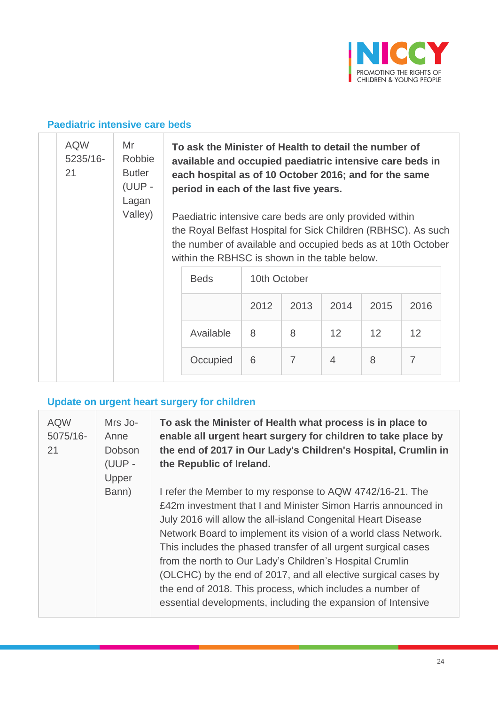

#### **Paediatric intensive care beds**

|  | <b>AQW</b><br>5235/16-<br>21 | Mr<br>Robbie<br><b>Butler</b><br>(UUP -<br>Lagan<br>Valley) | To ask the Minister of Health to detail the number of<br>available and occupied paediatric intensive care beds in<br>each hospital as of 10 October 2016; and for the same<br>period in each of the last five years.<br>Paediatric intensive care beds are only provided within<br>the Royal Belfast Hospital for Sick Children (RBHSC). As such<br>the number of available and occupied beds as at 10th October<br>within the RBHSC is shown in the table below. |              |                |                |      |                   |
|--|------------------------------|-------------------------------------------------------------|-------------------------------------------------------------------------------------------------------------------------------------------------------------------------------------------------------------------------------------------------------------------------------------------------------------------------------------------------------------------------------------------------------------------------------------------------------------------|--------------|----------------|----------------|------|-------------------|
|  |                              |                                                             | <b>Beds</b>                                                                                                                                                                                                                                                                                                                                                                                                                                                       | 10th October |                |                |      |                   |
|  |                              |                                                             |                                                                                                                                                                                                                                                                                                                                                                                                                                                                   | 2012         | 2013           | 2014           | 2015 | 2016              |
|  |                              |                                                             | Available                                                                                                                                                                                                                                                                                                                                                                                                                                                         | 8            | 8              | 12             | 12   | $12 \overline{ }$ |
|  |                              |                                                             | Occupied                                                                                                                                                                                                                                                                                                                                                                                                                                                          | 6            | $\overline{7}$ | $\overline{4}$ | 8    | $\overline{7}$    |

# **Update on urgent heart surgery for children**

| <b>AQW</b><br>5075/16-<br>21 | Mrs Jo-<br>Anne<br>Dobson<br>(UUP -<br>Upper | To ask the Minister of Health what process is in place to<br>enable all urgent heart surgery for children to take place by<br>the end of 2017 in Our Lady's Children's Hospital, Crumlin in<br>the Republic of Ireland.                                                                                                                                                                                                                                                                                                                                                                   |
|------------------------------|----------------------------------------------|-------------------------------------------------------------------------------------------------------------------------------------------------------------------------------------------------------------------------------------------------------------------------------------------------------------------------------------------------------------------------------------------------------------------------------------------------------------------------------------------------------------------------------------------------------------------------------------------|
|                              | Bann)                                        | I refer the Member to my response to AQW 4742/16-21. The<br>£42m investment that I and Minister Simon Harris announced in<br>July 2016 will allow the all-island Congenital Heart Disease<br>Network Board to implement its vision of a world class Network.<br>This includes the phased transfer of all urgent surgical cases<br>from the north to Our Lady's Children's Hospital Crumlin<br>(OLCHC) by the end of 2017, and all elective surgical cases by<br>the end of 2018. This process, which includes a number of<br>essential developments, including the expansion of Intensive |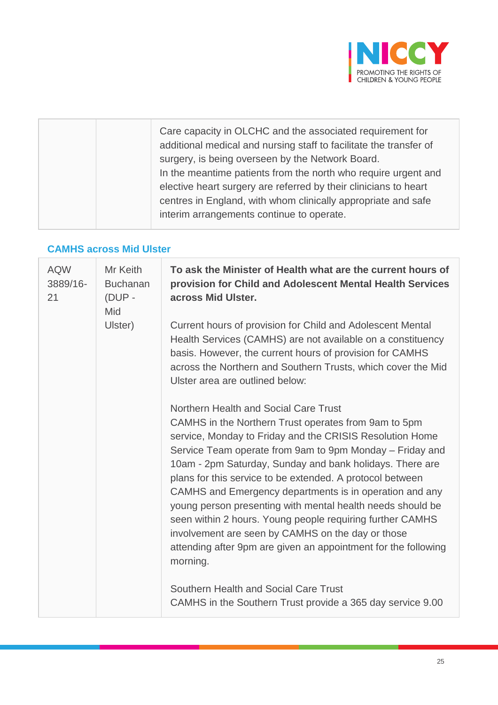

#### **CAMHS across Mid Ulster**

| <b>AQW</b><br>3889/16-<br>21 | Mr Keith<br><b>Buchanan</b><br>$(DUP -$<br>Mid | To ask the Minister of Health what are the current hours of<br>provision for Child and Adolescent Mental Health Services<br>across Mid Ulster.                                                                                                                                                                                                                                                                                                                                                                                                                                                                                                                          |  |  |
|------------------------------|------------------------------------------------|-------------------------------------------------------------------------------------------------------------------------------------------------------------------------------------------------------------------------------------------------------------------------------------------------------------------------------------------------------------------------------------------------------------------------------------------------------------------------------------------------------------------------------------------------------------------------------------------------------------------------------------------------------------------------|--|--|
|                              | Ulster)                                        | Current hours of provision for Child and Adolescent Mental<br>Health Services (CAMHS) are not available on a constituency<br>basis. However, the current hours of provision for CAMHS<br>across the Northern and Southern Trusts, which cover the Mid<br>Ulster area are outlined below:                                                                                                                                                                                                                                                                                                                                                                                |  |  |
|                              |                                                | Northern Health and Social Care Trust<br>CAMHS in the Northern Trust operates from 9am to 5pm<br>service, Monday to Friday and the CRISIS Resolution Home<br>Service Team operate from 9am to 9pm Monday – Friday and<br>10am - 2pm Saturday, Sunday and bank holidays. There are<br>plans for this service to be extended. A protocol between<br>CAMHS and Emergency departments is in operation and any<br>young person presenting with mental health needs should be<br>seen within 2 hours. Young people requiring further CAMHS<br>involvement are seen by CAMHS on the day or those<br>attending after 9pm are given an appointment for the following<br>morning. |  |  |
|                              |                                                | Southern Health and Social Care Trust<br>CAMHS in the Southern Trust provide a 365 day service 9.00                                                                                                                                                                                                                                                                                                                                                                                                                                                                                                                                                                     |  |  |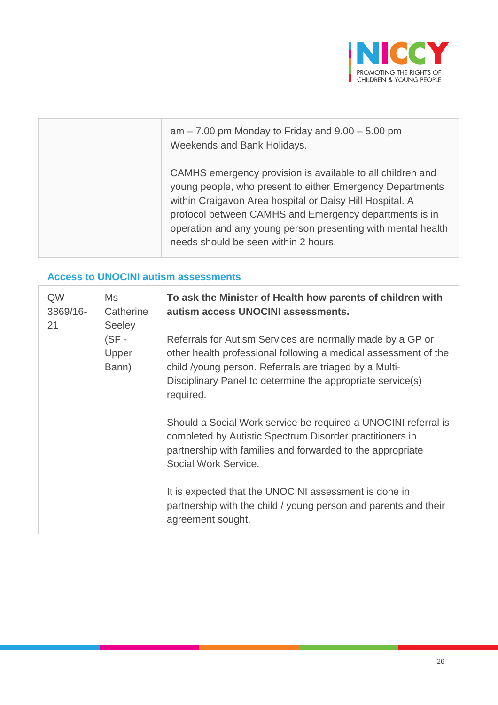

| $am - 7.00$ pm Monday to Friday and $9.00 - 5.00$ pm<br>Weekends and Bank Holidays.                                                                                                                                                                                                                                                                   |
|-------------------------------------------------------------------------------------------------------------------------------------------------------------------------------------------------------------------------------------------------------------------------------------------------------------------------------------------------------|
| CAMHS emergency provision is available to all children and<br>young people, who present to either Emergency Departments<br>within Craigavon Area hospital or Daisy Hill Hospital. A<br>protocol between CAMHS and Emergency departments is in<br>operation and any young person presenting with mental health<br>needs should be seen within 2 hours. |

#### **Access to UNOCINI autism assessments**

| QW<br>3869/16-<br>21 | Ms<br>Catherine<br><b>Seeley</b><br>$(SF -$<br>Upper<br>Bann) | To ask the Minister of Health how parents of children with<br>autism access UNOCINI assessments.                                                                                                                                                                   |  |  |
|----------------------|---------------------------------------------------------------|--------------------------------------------------------------------------------------------------------------------------------------------------------------------------------------------------------------------------------------------------------------------|--|--|
|                      |                                                               | Referrals for Autism Services are normally made by a GP or<br>other health professional following a medical assessment of the<br>child /young person. Referrals are triaged by a Multi-<br>Disciplinary Panel to determine the appropriate service(s)<br>required. |  |  |
|                      |                                                               | Should a Social Work service be required a UNOCINI referral is<br>completed by Autistic Spectrum Disorder practitioners in<br>partnership with families and forwarded to the appropriate<br>Social Work Service.                                                   |  |  |
|                      |                                                               | It is expected that the UNOCINI assessment is done in<br>partnership with the child / young person and parents and their<br>agreement sought.                                                                                                                      |  |  |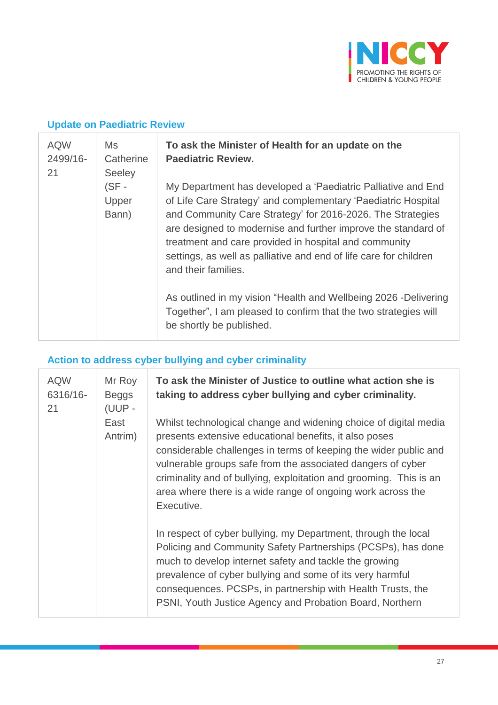

#### **Update on Paediatric Review**

| <b>AQW</b><br>Ms<br>2499/16-<br>Catherine<br>21 |                                          | To ask the Minister of Health for an update on the<br><b>Paediatric Review.</b>                                                                                                                                                                                                                                                                                                                                   |
|-------------------------------------------------|------------------------------------------|-------------------------------------------------------------------------------------------------------------------------------------------------------------------------------------------------------------------------------------------------------------------------------------------------------------------------------------------------------------------------------------------------------------------|
|                                                 | <b>Seeley</b><br>(SF -<br>Upper<br>Bann) | My Department has developed a 'Paediatric Palliative and End<br>of Life Care Strategy' and complementary 'Paediatric Hospital<br>and Community Care Strategy' for 2016-2026. The Strategies<br>are designed to modernise and further improve the standard of<br>treatment and care provided in hospital and community<br>settings, as well as palliative and end of life care for children<br>and their families. |
|                                                 |                                          | As outlined in my vision "Health and Wellbeing 2026 -Delivering<br>Together", I am pleased to confirm that the two strategies will<br>be shortly be published.                                                                                                                                                                                                                                                    |

# **Action to address cyber bullying and cyber criminality**

| <b>AQW</b><br>6316/16-<br>21 | Mr Roy<br><b>Beggs</b><br>(UUP - | To ask the Minister of Justice to outline what action she is<br>taking to address cyber bullying and cyber criminality.                                                                                                                                                                                                                                                                                          |
|------------------------------|----------------------------------|------------------------------------------------------------------------------------------------------------------------------------------------------------------------------------------------------------------------------------------------------------------------------------------------------------------------------------------------------------------------------------------------------------------|
|                              | East<br>Antrim)                  | Whilst technological change and widening choice of digital media<br>presents extensive educational benefits, it also poses<br>considerable challenges in terms of keeping the wider public and<br>vulnerable groups safe from the associated dangers of cyber<br>criminality and of bullying, exploitation and grooming. This is an<br>area where there is a wide range of ongoing work across the<br>Executive. |
|                              |                                  | In respect of cyber bullying, my Department, through the local<br>Policing and Community Safety Partnerships (PCSPs), has done<br>much to develop internet safety and tackle the growing<br>prevalence of cyber bullying and some of its very harmful<br>consequences. PCSPs, in partnership with Health Trusts, the<br>PSNI, Youth Justice Agency and Probation Board, Northern                                 |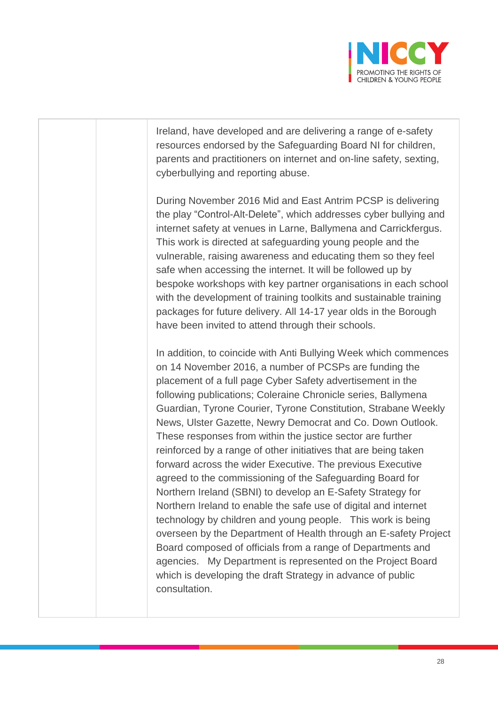

Ireland, have developed and are delivering a range of e-safety resources endorsed by the Safeguarding Board NI for children, parents and practitioners on internet and on-line safety, sexting, cyberbullying and reporting abuse.

During November 2016 Mid and East Antrim PCSP is delivering the play "Control-Alt-Delete", which addresses cyber bullying and internet safety at venues in Larne, Ballymena and Carrickfergus. This work is directed at safeguarding young people and the vulnerable, raising awareness and educating them so they feel safe when accessing the internet. It will be followed up by bespoke workshops with key partner organisations in each school with the development of training toolkits and sustainable training packages for future delivery. All 14-17 year olds in the Borough have been invited to attend through their schools.

In addition, to coincide with Anti Bullying Week which commences on 14 November 2016, a number of PCSPs are funding the placement of a full page Cyber Safety advertisement in the following publications; Coleraine Chronicle series, Ballymena Guardian, Tyrone Courier, Tyrone Constitution, Strabane Weekly News, Ulster Gazette, Newry Democrat and Co. Down Outlook. These responses from within the justice sector are further reinforced by a range of other initiatives that are being taken forward across the wider Executive. The previous Executive agreed to the commissioning of the Safeguarding Board for Northern Ireland (SBNI) to develop an E-Safety Strategy for Northern Ireland to enable the safe use of digital and internet technology by children and young people. This work is being overseen by the Department of Health through an E-safety Project Board composed of officials from a range of Departments and agencies. My Department is represented on the Project Board which is developing the draft Strategy in advance of public consultation.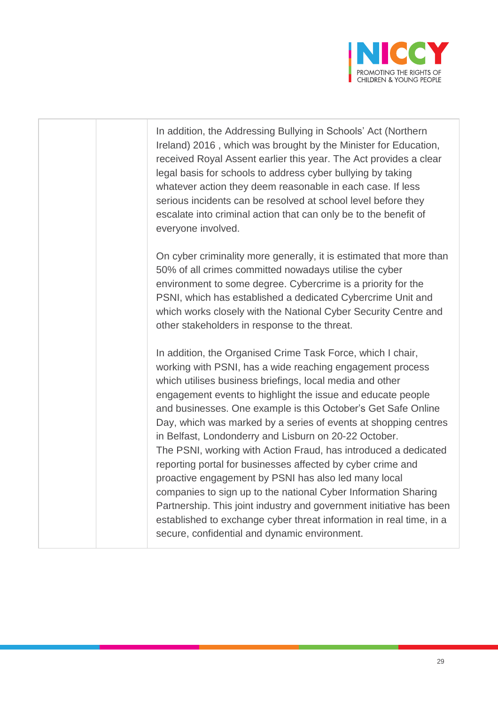

In addition, the Addressing Bullying in Schools' Act (Northern Ireland) 2016 , which was brought by the Minister for Education, received Royal Assent earlier this year. The Act provides a clear legal basis for schools to address cyber bullying by taking whatever action they deem reasonable in each case. If less serious incidents can be resolved at school level before they escalate into criminal action that can only be to the benefit of everyone involved. On cyber criminality more generally, it is estimated that more than 50% of all crimes committed nowadays utilise the cyber environment to some degree. Cybercrime is a priority for the PSNI, which has established a dedicated Cybercrime Unit and which works closely with the National Cyber Security Centre and other stakeholders in response to the threat. In addition, the Organised Crime Task Force, which I chair, working with PSNI, has a wide reaching engagement process which utilises business briefings, local media and other engagement events to highlight the issue and educate people and businesses. One example is this October's Get Safe Online Day, which was marked by a series of events at shopping centres in Belfast, Londonderry and Lisburn on 20-22 October. The PSNI, working with Action Fraud, has introduced a dedicated reporting portal for businesses affected by cyber crime and proactive engagement by PSNI has also led many local companies to sign up to the national Cyber Information Sharing Partnership. This joint industry and government initiative has been established to exchange cyber threat information in real time, in a secure, confidential and dynamic environment.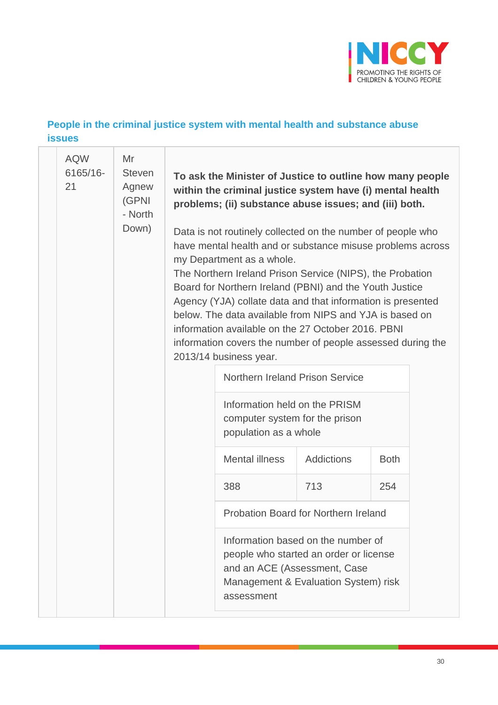

#### **People in the criminal justice system with mental health and substance abuse issues**

| <b>AQW</b><br>6165/16-<br>21 | Mr<br><b>Steven</b><br>Agnew<br>(GPNI<br>- North<br>Down) |  | To ask the Minister of Justice to outline how many people<br>within the criminal justice system have (i) mental health<br>problems; (ii) substance abuse issues; and (iii) both.<br>Data is not routinely collected on the number of people who<br>have mental health and or substance misuse problems across<br>my Department as a whole.<br>The Northern Ireland Prison Service (NIPS), the Probation<br>Board for Northern Ireland (PBNI) and the Youth Justice<br>Agency (YJA) collate data and that information is presented<br>below. The data available from NIPS and YJA is based on<br>information available on the 27 October 2016. PBNI<br>information covers the number of people assessed during the<br>2013/14 business year. |                                                                                                                      |             |  |  |  |
|------------------------------|-----------------------------------------------------------|--|---------------------------------------------------------------------------------------------------------------------------------------------------------------------------------------------------------------------------------------------------------------------------------------------------------------------------------------------------------------------------------------------------------------------------------------------------------------------------------------------------------------------------------------------------------------------------------------------------------------------------------------------------------------------------------------------------------------------------------------------|----------------------------------------------------------------------------------------------------------------------|-------------|--|--|--|
|                              |                                                           |  | Northern Ireland Prison Service                                                                                                                                                                                                                                                                                                                                                                                                                                                                                                                                                                                                                                                                                                             |                                                                                                                      |             |  |  |  |
|                              |                                                           |  | Information held on the PRISM<br>computer system for the prison<br>population as a whole                                                                                                                                                                                                                                                                                                                                                                                                                                                                                                                                                                                                                                                    |                                                                                                                      |             |  |  |  |
|                              |                                                           |  | <b>Mental illness</b>                                                                                                                                                                                                                                                                                                                                                                                                                                                                                                                                                                                                                                                                                                                       | <b>Addictions</b>                                                                                                    | <b>Both</b> |  |  |  |
|                              |                                                           |  | 388                                                                                                                                                                                                                                                                                                                                                                                                                                                                                                                                                                                                                                                                                                                                         | 713                                                                                                                  | 254         |  |  |  |
|                              |                                                           |  | Probation Board for Northern Ireland                                                                                                                                                                                                                                                                                                                                                                                                                                                                                                                                                                                                                                                                                                        |                                                                                                                      |             |  |  |  |
|                              |                                                           |  | and an ACE (Assessment, Case<br>assessment                                                                                                                                                                                                                                                                                                                                                                                                                                                                                                                                                                                                                                                                                                  | Information based on the number of<br>people who started an order or license<br>Management & Evaluation System) risk |             |  |  |  |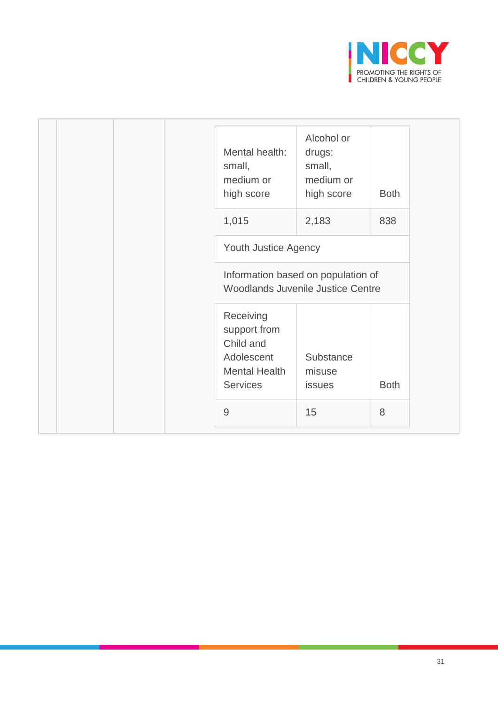

| Mental health:<br>small,<br>medium or<br>high score                                             | Alcohol or<br>drugs:<br>small,<br>medium or<br>high score                      | <b>Both</b> |
|-------------------------------------------------------------------------------------------------|--------------------------------------------------------------------------------|-------------|
| 1,015                                                                                           | 2,183                                                                          | 838         |
| Youth Justice Agency                                                                            |                                                                                |             |
|                                                                                                 | Information based on population of<br><b>Woodlands Juvenile Justice Centre</b> |             |
| Receiving<br>support from<br>Child and<br>Adolescent<br><b>Mental Health</b><br><b>Services</b> | Substance<br>misuse<br><b>issues</b>                                           | <b>Both</b> |
| $\overline{9}$                                                                                  | 15                                                                             | 8           |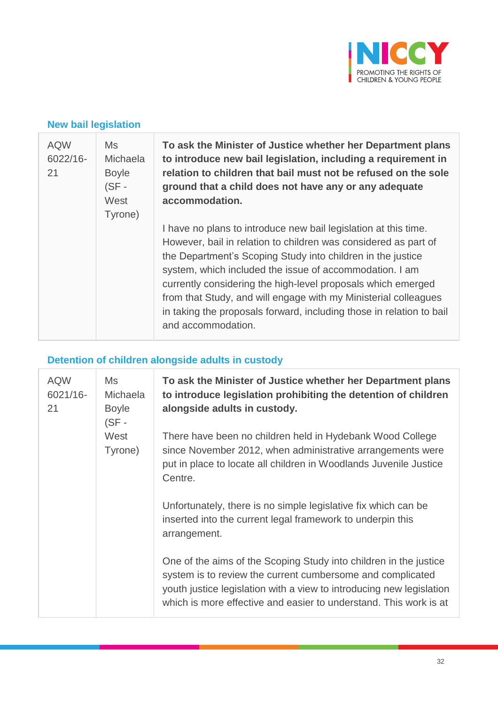

#### **New bail legislation**

| <b>AQW</b><br>6022/16-<br>21 | Ms<br>Michaela<br><b>Boyle</b><br>$(SF -$<br>West<br>Tyrone) | To ask the Minister of Justice whether her Department plans<br>to introduce new bail legislation, including a requirement in<br>relation to children that bail must not be refused on the sole<br>ground that a child does not have any or any adequate<br>accommodation.                                                                                                                                                                                                                     |
|------------------------------|--------------------------------------------------------------|-----------------------------------------------------------------------------------------------------------------------------------------------------------------------------------------------------------------------------------------------------------------------------------------------------------------------------------------------------------------------------------------------------------------------------------------------------------------------------------------------|
|                              |                                                              | I have no plans to introduce new bail legislation at this time.<br>However, bail in relation to children was considered as part of<br>the Department's Scoping Study into children in the justice<br>system, which included the issue of accommodation. I am<br>currently considering the high-level proposals which emerged<br>from that Study, and will engage with my Ministerial colleagues<br>in taking the proposals forward, including those in relation to bail<br>and accommodation. |

# **Detention of children alongside adults in custody**

| <b>AQW</b><br>6021/16-<br>21 | Ms<br><b>Michaela</b><br><b>Boyle</b><br>$(SF -$ | To ask the Minister of Justice whether her Department plans<br>to introduce legislation prohibiting the detention of children<br>alongside adults in custody.                                                                                                                |
|------------------------------|--------------------------------------------------|------------------------------------------------------------------------------------------------------------------------------------------------------------------------------------------------------------------------------------------------------------------------------|
|                              | West<br>Tyrone)                                  | There have been no children held in Hydebank Wood College<br>since November 2012, when administrative arrangements were<br>put in place to locate all children in Woodlands Juvenile Justice<br>Centre.                                                                      |
|                              |                                                  | Unfortunately, there is no simple legislative fix which can be<br>inserted into the current legal framework to underpin this<br>arrangement.                                                                                                                                 |
|                              |                                                  | One of the aims of the Scoping Study into children in the justice<br>system is to review the current cumbersome and complicated<br>youth justice legislation with a view to introducing new legislation<br>which is more effective and easier to understand. This work is at |